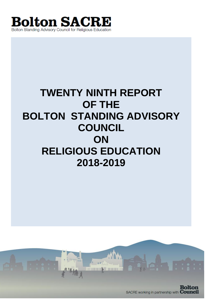

# **TWENTY NINTH REPORT OF THE BOLTON STANDING ADVISORY COUNCIL ON RELIGIOUS EDUCATION 2018-2019**

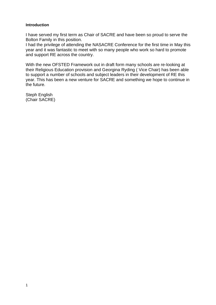## **Introduction**

I have served my first term as Chair of SACRE and have been so proud to serve the Bolton Family in this position.

I had the privilege of attending the NASACRE Conference for the first time in May this year and it was fantastic to meet with so many people who work so hard to promote and support RE across the country.

With the new OFSTED Framework out in draft form many schools are re-looking at their Religious Education provision and Georgina Ryding ( Vice Chair) has been able to support a number of schools and subject leaders in their development of RE this year. This has been a new venture for SACRE and something we hope to continue in the future.

Steph English (Chair SACRE)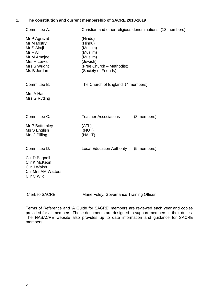# **1. The constitution and current membership of SACRE 2018-2019**

| Committee A:                                                                                                       | Christian and other religious denominations (13 members)                                                                |             |  |  |  |  |
|--------------------------------------------------------------------------------------------------------------------|-------------------------------------------------------------------------------------------------------------------------|-------------|--|--|--|--|
| Mr P Agravat<br>Mr M Mistry<br>Mr S Akuji<br>Mr F Ali<br>Mr M Amejee<br>Mrs H Lewis<br>Mrs S Wright<br>Ms B Jordan | (Hindu)<br>(Hindu)<br>(Muslim)<br>(Muslim)<br>(Muslim)<br>(Jewish)<br>(Free Church - Methodist)<br>(Society of Friends) |             |  |  |  |  |
| Committee B:                                                                                                       | The Church of England (4 members)                                                                                       |             |  |  |  |  |
| Mrs A Hart<br>Mrs G Ryding                                                                                         |                                                                                                                         |             |  |  |  |  |
| Committee C:                                                                                                       | <b>Teacher Associations</b>                                                                                             | (8 members) |  |  |  |  |
| Mr P Bottomley<br>Ms S English<br>Mrs J Pilling                                                                    | (ATL)<br>(NUT)<br>(NAHT)                                                                                                |             |  |  |  |  |
| Committee D:                                                                                                       | <b>Local Education Authority</b>                                                                                        | (5 members) |  |  |  |  |
| Cllr D Bagnall<br>Cllr K McKeon<br>Cllr J Walsh<br><b>CIIr Mrs AM Watters</b><br>Cllr C Wild                       |                                                                                                                         |             |  |  |  |  |

Clerk to SACRE: Marie Foley, Governance Training Officer

Terms of Reference and 'A Guide for SACRE' members are reviewed each year and copies provided for all members. These documents are designed to support members in their duties. The NASACRE website also provides up to date information and guidance for SACRE members.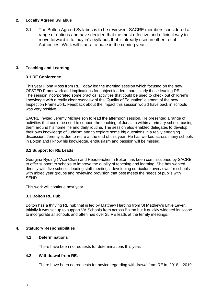# **2. Locally Agreed Syllabus**

**2.1** The Bolton Agreed Syllabus is to be reviewed. SACRE members considered a range of options and have decided that the most effective and efficient way to move forward is to 'buy in' a syllabus that is already used in other Local Authorities. Work will start at a pace in the coming year.

## **3. Teaching and Learning**

## **3.1 RE Conference**

This year Fiona Moss from RE Today led the morning session which focused on the new OFSTED Framework and implications for subject leaders, particularly those leading RE. The session incorporated some practical activities that could be used to check out children's knowledge with a really clear overview of the 'Quality of Education' element of the new Inspection Framework. Feedback about the impact this session would have back in schools was very positive.

SACRE Invited Jeremy Michaelson to lead the afternoon session. He presented a range of activities that could be used to support the teaching of Judaism within a primary school, basing them around his home life and daily routine. The session also enabled delegates to develop their own knowledge of Judaism and to explore some big questions in a really engaging discussion. Jeremy is due to retire at the end of this year. He has worked across many schools in Bolton and I know his knowledge, enthusiasm and passion will be missed.

#### **3.2 Support for RE Leads**

Georgina Ryding ( Vice Chair) and Headteacher in Bolton has been commissioned by SACRE to offer support to schools to improve the quality of teaching and learning. She has worked directly with five schools, leading staff meetings, developing curriculum overviews for schools with mixed year groups and reviewing provision that best meets the needs of pupils with SEND.

This work will continue next year.

#### **3.3 Bolton RE Hub**

Bolton has a thriving RE hub that is led by Matthew Harding from St Matthew's Little Lever. Initially it was set up to support VA Schools from across Bolton but it quickly widened its scope to incorporate all schools and often has over 25 RE leads at the termly meetings.

#### **4. Statutory Responsibilities**

## **4.1 Determinations**

There have been no requests for determinations this year.

#### **4.2 Withdrawal from RE.**

There have been no requests for advice regarding withdrawal from RE in 2018 – 2019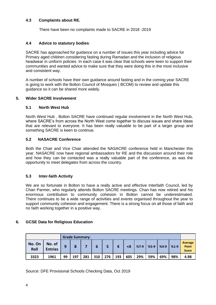# **4.3 Complaints about RE.**

There have been no complaints made to SACRE in 2018 -2019

## **4.4 Advice to statutory bodies**:

SACRE has approached for guidance on a number of issues this year including advice for Primary aged children considering fasting during Ramadan and the inclusion of religious headwear in uniform policies. In each case it was clear that schools were keen to support their communities and wanted advice to make sure that they were doing this in the most inclusive and consistent way.

A number of schools have their own guidance around fasting and in the coming year SACRE is going to work with the Bolton Council of Mosques ( BCOM) to review and update this guidance so it can be shared more widely.

#### **5. Wider SACRE Involvement**

#### **5.1 North West Hub**

North West Hub . Bolton SACRE have continued regular involvement in the North West Hub, where SACRE's from across the North West come together to discuss issues and share ideas that are relevant to everyone. It has been really valuable to be part of a larger group and something SACRE is keen to continue.

#### **5.2 NASACRE Conference**

Both the Chair and Vice Chair attended the NASACRE conference held in Manchester this year. NASACRE now have regional ambassadors for RE and the discussion around their role and how they can be contacted was a really valuable part of the conference, as was the opportunity to meet delegates from across the country.

#### **5.3 Inter-faith Activity**

We are so fortunate in Bolton to have a really active and effective Interfaith Council, led by Chan Parmer, who regularly attends Bolton SACRE meetings. Chan has now retired and his enormous contribution to community cohesion in Bolton cannot be underestimated. There continues to be a wide range of activities and events organised throughout the year to support community cohesion and engagement. There is a strong focus on all those of faith and no faith working together in a positive way.

#### **6. GCSE Data for Religious Education**

| <b>Grade Summary:</b> |                          |    |     |     |     |     |     |     |        |        |        |        |                                         |
|-----------------------|--------------------------|----|-----|-----|-----|-----|-----|-----|--------|--------|--------|--------|-----------------------------------------|
| No. On<br>Roll        | No. of<br><b>Entries</b> | q  | 8   |     | 6   | 5   | 4   | <4  | $%7-9$ | $%5-9$ | $%4-9$ | $%1-9$ | Average<br><b>Point</b><br><b>Score</b> |
| 3323                  | 1961                     | 99 | 197 | 281 | 310 | 276 | 193 | 605 | 29%    | 59%    | 69%    | 98%    | 4.98                                    |

Source: DFE Provisional Schools Checking Data, Oct 2019